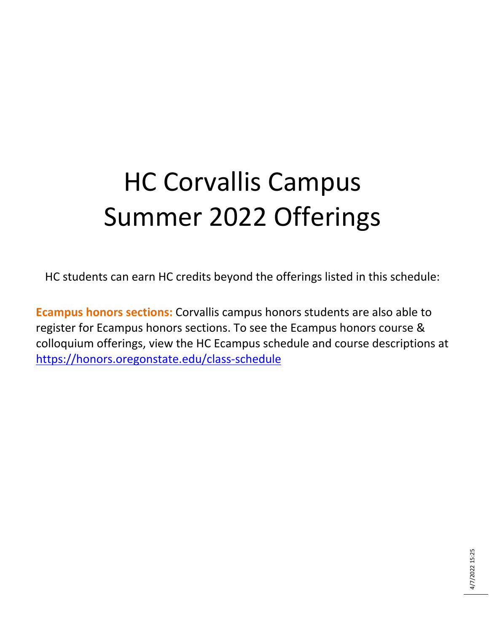## HC Corvallis Campus Summer 2022 Offerings

HC students can earn HC credits beyond the offerings listed in this schedule:

**Ecampus honors sections:** Corvallis campus honors students are also able to register for Ecampus honors sections. To see the Ecampus honors course & colloquium offerings, view the HC Ecampus schedule and course descriptions at <https://honors.oregonstate.edu/class-schedule>